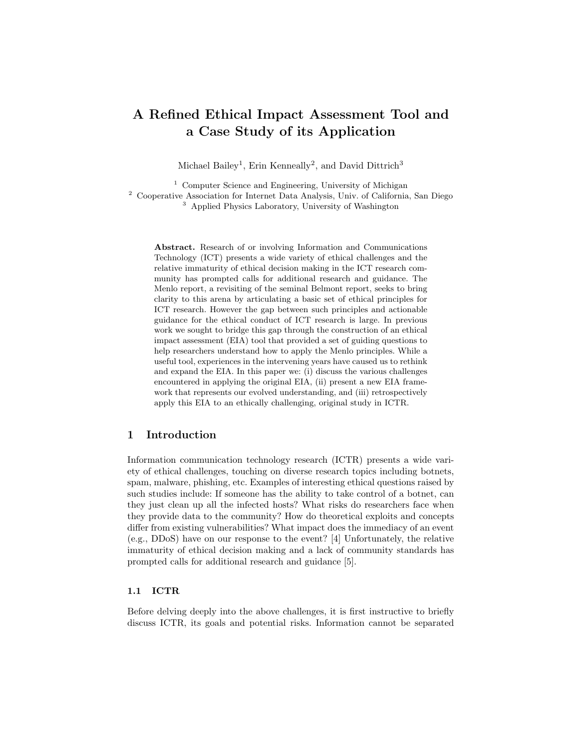# A Refined Ethical Impact Assessment Tool and a Case Study of its Application

Michael Bailey<sup>1</sup>, Erin Kenneally<sup>2</sup>, and David Dittrich<sup>3</sup>

<sup>1</sup> Computer Science and Engineering, University of Michigan <sup>2</sup> Cooperative Association for Internet Data Analysis, Univ. of California, San Diego <sup>3</sup> Applied Physics Laboratory, University of Washington

Abstract. Research of or involving Information and Communications Technology (ICT) presents a wide variety of ethical challenges and the relative immaturity of ethical decision making in the ICT research community has prompted calls for additional research and guidance. The Menlo report, a revisiting of the seminal Belmont report, seeks to bring clarity to this arena by articulating a basic set of ethical principles for ICT research. However the gap between such principles and actionable guidance for the ethical conduct of ICT research is large. In previous work we sought to bridge this gap through the construction of an ethical impact assessment (EIA) tool that provided a set of guiding questions to help researchers understand how to apply the Menlo principles. While a useful tool, experiences in the intervening years have caused us to rethink and expand the EIA. In this paper we: (i) discuss the various challenges encountered in applying the original EIA, (ii) present a new EIA framework that represents our evolved understanding, and (iii) retrospectively apply this EIA to an ethically challenging, original study in ICTR.

# 1 Introduction

Information communication technology research (ICTR) presents a wide variety of ethical challenges, touching on diverse research topics including botnets, spam, malware, phishing, etc. Examples of interesting ethical questions raised by such studies include: If someone has the ability to take control of a botnet, can they just clean up all the infected hosts? What risks do researchers face when they provide data to the community? How do theoretical exploits and concepts differ from existing vulnerabilities? What impact does the immediacy of an event (e.g., DDoS) have on our response to the event? [4] Unfortunately, the relative immaturity of ethical decision making and a lack of community standards has prompted calls for additional research and guidance [5].

# 1.1 ICTR

Before delving deeply into the above challenges, it is first instructive to briefly discuss ICTR, its goals and potential risks. Information cannot be separated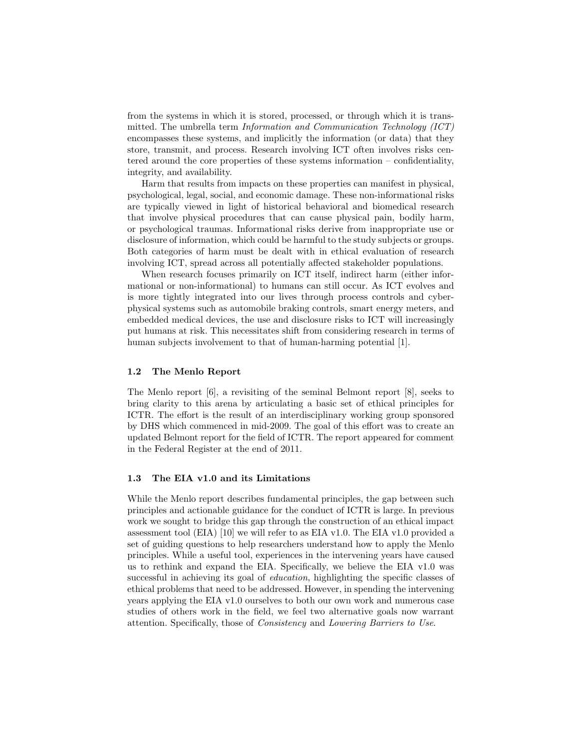from the systems in which it is stored, processed, or through which it is transmitted. The umbrella term Information and Communication Technology (ICT) encompasses these systems, and implicitly the information (or data) that they store, transmit, and process. Research involving ICT often involves risks centered around the core properties of these systems information – confidentiality, integrity, and availability.

Harm that results from impacts on these properties can manifest in physical, psychological, legal, social, and economic damage. These non-informational risks are typically viewed in light of historical behavioral and biomedical research that involve physical procedures that can cause physical pain, bodily harm, or psychological traumas. Informational risks derive from inappropriate use or disclosure of information, which could be harmful to the study subjects or groups. Both categories of harm must be dealt with in ethical evaluation of research involving ICT, spread across all potentially affected stakeholder populations.

When research focuses primarily on ICT itself, indirect harm (either informational or non-informational) to humans can still occur. As ICT evolves and is more tightly integrated into our lives through process controls and cyberphysical systems such as automobile braking controls, smart energy meters, and embedded medical devices, the use and disclosure risks to ICT will increasingly put humans at risk. This necessitates shift from considering research in terms of human subjects involvement to that of human-harming potential [1].

## 1.2 The Menlo Report

The Menlo report [6], a revisiting of the seminal Belmont report [8], seeks to bring clarity to this arena by articulating a basic set of ethical principles for ICTR. The effort is the result of an interdisciplinary working group sponsored by DHS which commenced in mid-2009. The goal of this effort was to create an updated Belmont report for the field of ICTR. The report appeared for comment in the Federal Register at the end of 2011.

## 1.3 The EIA v1.0 and its Limitations

While the Menlo report describes fundamental principles, the gap between such principles and actionable guidance for the conduct of ICTR is large. In previous work we sought to bridge this gap through the construction of an ethical impact assessment tool (EIA) [10] we will refer to as EIA v1.0. The EIA v1.0 provided a set of guiding questions to help researchers understand how to apply the Menlo principles. While a useful tool, experiences in the intervening years have caused us to rethink and expand the EIA. Specifically, we believe the EIA v1.0 was successful in achieving its goal of *education*, highlighting the specific classes of ethical problems that need to be addressed. However, in spending the intervening years applying the EIA v1.0 ourselves to both our own work and numerous case studies of others work in the field, we feel two alternative goals now warrant attention. Specifically, those of Consistency and Lowering Barriers to Use.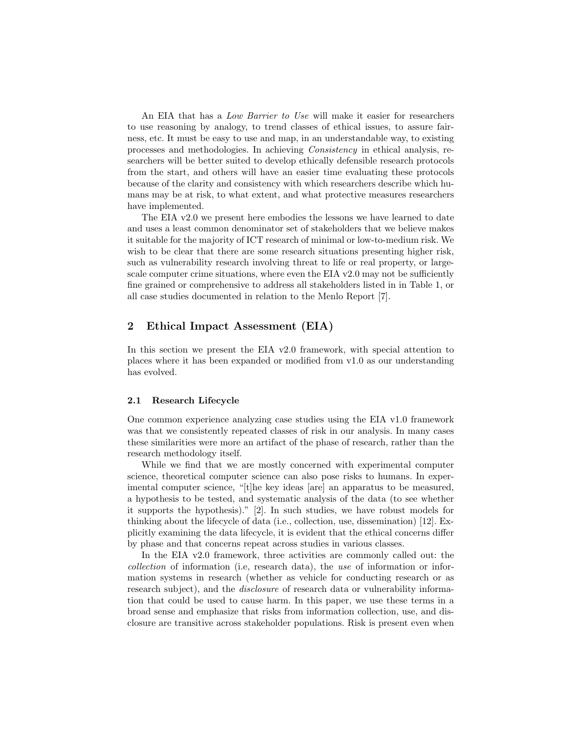An EIA that has a *Low Barrier to Use* will make it easier for researchers to use reasoning by analogy, to trend classes of ethical issues, to assure fairness, etc. It must be easy to use and map, in an understandable way, to existing processes and methodologies. In achieving Consistency in ethical analysis, researchers will be better suited to develop ethically defensible research protocols from the start, and others will have an easier time evaluating these protocols because of the clarity and consistency with which researchers describe which humans may be at risk, to what extent, and what protective measures researchers have implemented.

The EIA v2.0 we present here embodies the lessons we have learned to date and uses a least common denominator set of stakeholders that we believe makes it suitable for the majority of ICT research of minimal or low-to-medium risk. We wish to be clear that there are some research situations presenting higher risk, such as vulnerability research involving threat to life or real property, or largescale computer crime situations, where even the EIA  $v2.0$  may not be sufficiently fine grained or comprehensive to address all stakeholders listed in in Table 1, or all case studies documented in relation to the Menlo Report [7].

# 2 Ethical Impact Assessment (EIA)

In this section we present the EIA v2.0 framework, with special attention to places where it has been expanded or modified from v1.0 as our understanding has evolved.

#### 2.1 Research Lifecycle

One common experience analyzing case studies using the EIA v1.0 framework was that we consistently repeated classes of risk in our analysis. In many cases these similarities were more an artifact of the phase of research, rather than the research methodology itself.

While we find that we are mostly concerned with experimental computer science, theoretical computer science can also pose risks to humans. In experimental computer science, "[t]he key ideas [are] an apparatus to be measured, a hypothesis to be tested, and systematic analysis of the data (to see whether it supports the hypothesis)." [2]. In such studies, we have robust models for thinking about the lifecycle of data (i.e., collection, use, dissemination) [12]. Explicitly examining the data lifecycle, it is evident that the ethical concerns differ by phase and that concerns repeat across studies in various classes.

In the EIA v2.0 framework, three activities are commonly called out: the collection of information (i.e, research data), the use of information or information systems in research (whether as vehicle for conducting research or as research subject), and the *disclosure* of research data or vulnerability information that could be used to cause harm. In this paper, we use these terms in a broad sense and emphasize that risks from information collection, use, and disclosure are transitive across stakeholder populations. Risk is present even when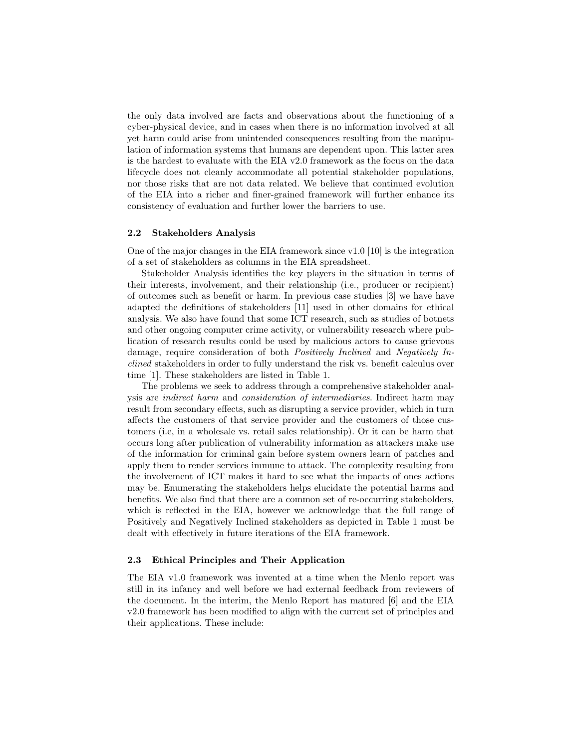the only data involved are facts and observations about the functioning of a cyber-physical device, and in cases when there is no information involved at all yet harm could arise from unintended consequences resulting from the manipulation of information systems that humans are dependent upon. This latter area is the hardest to evaluate with the EIA v2.0 framework as the focus on the data lifecycle does not cleanly accommodate all potential stakeholder populations, nor those risks that are not data related. We believe that continued evolution of the EIA into a richer and finer-grained framework will further enhance its consistency of evaluation and further lower the barriers to use.

#### 2.2 Stakeholders Analysis

One of the major changes in the EIA framework since v1.0 [10] is the integration of a set of stakeholders as columns in the EIA spreadsheet.

Stakeholder Analysis identifies the key players in the situation in terms of their interests, involvement, and their relationship (i.e., producer or recipient) of outcomes such as benefit or harm. In previous case studies [3] we have have adapted the definitions of stakeholders [11] used in other domains for ethical analysis. We also have found that some ICT research, such as studies of botnets and other ongoing computer crime activity, or vulnerability research where publication of research results could be used by malicious actors to cause grievous damage, require consideration of both *Positively Inclined* and *Negatively In*clined stakeholders in order to fully understand the risk vs. benefit calculus over time [1]. These stakeholders are listed in Table 1.

The problems we seek to address through a comprehensive stakeholder analysis are indirect harm and consideration of intermediaries. Indirect harm may result from secondary effects, such as disrupting a service provider, which in turn affects the customers of that service provider and the customers of those customers (i.e, in a wholesale vs. retail sales relationship). Or it can be harm that occurs long after publication of vulnerability information as attackers make use of the information for criminal gain before system owners learn of patches and apply them to render services immune to attack. The complexity resulting from the involvement of ICT makes it hard to see what the impacts of ones actions may be. Enumerating the stakeholders helps elucidate the potential harms and benefits. We also find that there are a common set of re-occurring stakeholders, which is reflected in the EIA, however we acknowledge that the full range of Positively and Negatively Inclined stakeholders as depicted in Table 1 must be dealt with effectively in future iterations of the EIA framework.

#### 2.3 Ethical Principles and Their Application

The EIA v1.0 framework was invented at a time when the Menlo report was still in its infancy and well before we had external feedback from reviewers of the document. In the interim, the Menlo Report has matured [6] and the EIA v2.0 framework has been modified to align with the current set of principles and their applications. These include: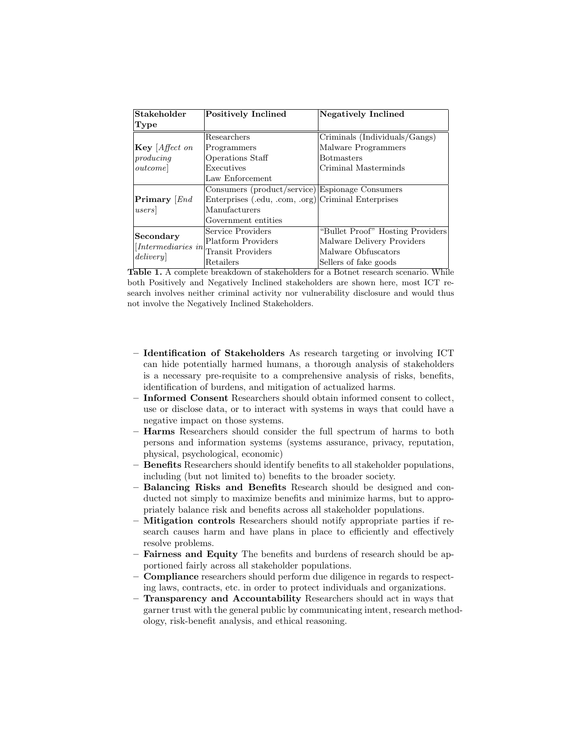| Stakeholder                 | <b>Positively Inclined</b>                         | <b>Negatively Inclined</b>        |
|-----------------------------|----------------------------------------------------|-----------------------------------|
| Type                        |                                                    |                                   |
|                             | Researchers                                        | Criminals (Individuals/Gangs)     |
| <b>Key</b> <i>Affect on</i> | Programmers                                        | Malware Programmers               |
| producing                   | Operations Staff                                   | <b>Botmasters</b>                 |
| <i>outcome</i>              | Executives                                         | Criminal Masterminds              |
|                             | Law Enforcement                                    |                                   |
|                             | Consumers (product/service) Espionage Consumers    |                                   |
| Primary $\left[End\right]$  | Enterprises (edu, .com, .org) Criminal Enterprises |                                   |
| users                       | Manufacturers                                      |                                   |
|                             | Government entities                                |                                   |
| Secondary                   | Service Providers                                  | "Bullet Proof" Hosting Providers" |
|                             | Platform Providers                                 | Malware Delivery Providers        |
| [Intermediaries in]         | <b>Transit Providers</b>                           | Malware Obfuscators               |
| delivery                    | Retailers                                          | Sellers of fake goods             |

Table 1. A complete breakdown of stakeholders for a Botnet research scenario. While both Positively and Negatively Inclined stakeholders are shown here, most ICT research involves neither criminal activity nor vulnerability disclosure and would thus not involve the Negatively Inclined Stakeholders.

- Identification of Stakeholders As research targeting or involving ICT can hide potentially harmed humans, a thorough analysis of stakeholders is a necessary pre-requisite to a comprehensive analysis of risks, benefits, identification of burdens, and mitigation of actualized harms.
- Informed Consent Researchers should obtain informed consent to collect, use or disclose data, or to interact with systems in ways that could have a negative impact on those systems.
- Harms Researchers should consider the full spectrum of harms to both persons and information systems (systems assurance, privacy, reputation, physical, psychological, economic)
- Benefits Researchers should identify benefits to all stakeholder populations, including (but not limited to) benefits to the broader society.
- Balancing Risks and Benefits Research should be designed and conducted not simply to maximize benefits and minimize harms, but to appropriately balance risk and benefits across all stakeholder populations.
- Mitigation controls Researchers should notify appropriate parties if research causes harm and have plans in place to efficiently and effectively resolve problems.
- Fairness and Equity The benefits and burdens of research should be apportioned fairly across all stakeholder populations.
- Compliance researchers should perform due diligence in regards to respecting laws, contracts, etc. in order to protect individuals and organizations.
- Transparency and Accountability Researchers should act in ways that garner trust with the general public by communicating intent, research methodology, risk-benefit analysis, and ethical reasoning.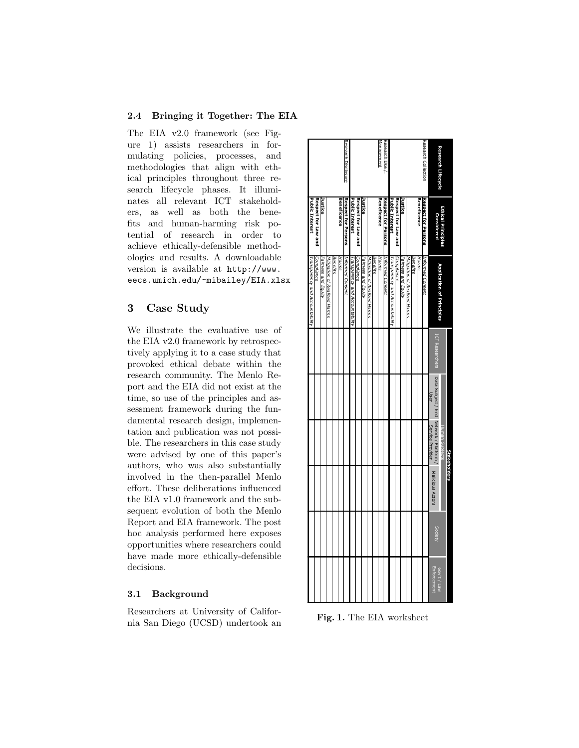## 2.4 Bringing it Together: The EIA

The EIA v2.0 framework (see Figure 1) assists researchers in formulating policies, processes, and methodologies that align with ethical principles throughout three research lifecycle phases. It illuminates all relevant ICT stakeholders, as well as both the benefits and human-harming risk potential of research in order to achieve ethically-defensible methodologies and results. A downloadable version is available at http://www. eecs.umich.edu/~mibailey/EIA.xlsx

# 3 Case Study

We illustrate the evaluative use of the EIA v2.0 framework by retrospectively applying it to a case study that provoked ethical debate within the research community. The Menlo Report and the EIA did not exist at the time, so use of the principles and assessment framework during the fundamental research design, implementation and publication was not possible. The researchers in this case study were advised by one of this paper's authors, who was also substantially involved in the then-parallel Menlo effort. These deliberations influenced the EIA v1.0 framework and the subsequent evolution of both the Menlo Report and EIA framework. The post hoc analysis performed here exposes opportunities where researchers could have made more ethically-defensible decisions.

# 3.1 Background

Researchers at University of California San Diego (UCSD) undertook an

|                           |                                  |                                 |                        |                                                        | Stakeholders     |                  |         |                            |
|---------------------------|----------------------------------|---------------------------------|------------------------|--------------------------------------------------------|------------------|------------------|---------|----------------------------|
|                           |                                  |                                 |                        |                                                        | Human Subjects   |                  |         |                            |
| <b>Research Lifecycle</b> | Ethical Principles<br>Considered | Application of Principles       | <b>ICT Researchers</b> | Data Subject / End Network / Platform /<br><b>User</b> | Service Provider | Malicious Actors | Society | Enforcement<br>Gov't / Law |
| Research Collection       | Respect for Persons              | Informed Consent                |                        |                                                        |                  |                  |         |                            |
|                           | <b>Beneficence</b>               | Harms                           |                        |                                                        |                  |                  |         |                            |
|                           |                                  | Benefits                        |                        |                                                        |                  |                  |         |                            |
|                           |                                  | Mitigation of Realized Harms    |                        |                                                        |                  |                  |         |                            |
|                           | Justice                          | Fairness and Equity             |                        |                                                        |                  |                  |         |                            |
|                           | Respect for Law and              | Compliance                      |                        |                                                        |                  |                  |         |                            |
|                           | <b>Public Interest</b>           | Transparency and Accountability |                        |                                                        |                  |                  |         |                            |
| Research Use              | Respect for Persons              | Informed Consent                |                        |                                                        |                  |                  |         |                            |
| Management                | Beneficence                      | Harms                           |                        |                                                        |                  |                  |         |                            |
|                           |                                  | Benefits                        |                        |                                                        |                  |                  |         |                            |
|                           |                                  | Mitigation of Realized Harms    |                        |                                                        |                  |                  |         |                            |
|                           | Justice                          | Fairness and Equity             |                        |                                                        |                  |                  |         |                            |
|                           | Respect for Law and              | Compliance                      |                        |                                                        |                  |                  |         |                            |
|                           | <b>Public Interest</b>           | Transparency and Accountability |                        |                                                        |                  |                  |         |                            |
| Research Disclosure       | Respect for Persons              | Informed Consent                |                        |                                                        |                  |                  |         |                            |
|                           | Beneficence                      | Harms                           |                        |                                                        |                  |                  |         |                            |
|                           |                                  | Benefits                        |                        |                                                        |                  |                  |         |                            |
|                           |                                  | Mitigation of Realized Harms    |                        |                                                        |                  |                  |         |                            |
|                           | Justice                          | Fairness and Equity             |                        |                                                        |                  |                  |         |                            |
|                           | Respect for Law and              | Compliance                      |                        |                                                        |                  |                  |         |                            |
|                           | <b>Public Interest</b>           | Transparency and Accountability |                        |                                                        |                  |                  |         |                            |
|                           |                                  |                                 |                        |                                                        |                  |                  |         |                            |

Fig. 1. The EIA worksheet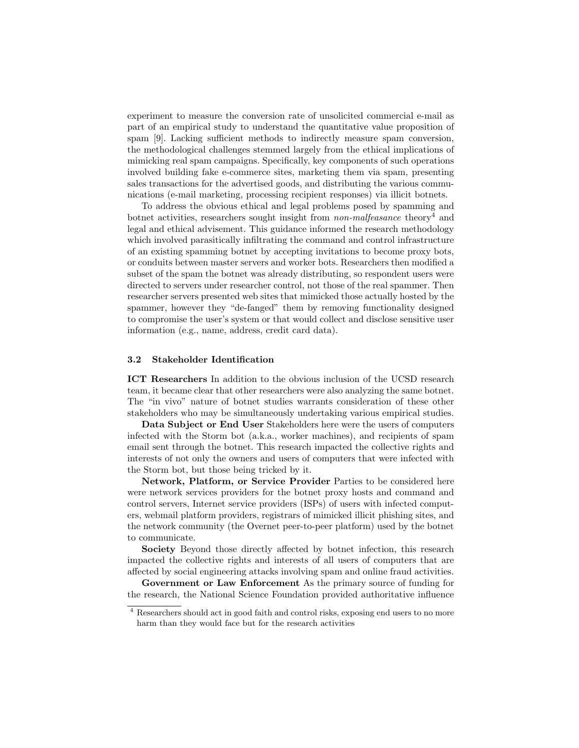experiment to measure the conversion rate of unsolicited commercial e-mail as part of an empirical study to understand the quantitative value proposition of spam [9]. Lacking sufficient methods to indirectly measure spam conversion, the methodological challenges stemmed largely from the ethical implications of mimicking real spam campaigns. Specifically, key components of such operations involved building fake e-commerce sites, marketing them via spam, presenting sales transactions for the advertised goods, and distributing the various communications (e-mail marketing, processing recipient responses) via illicit botnets.

To address the obvious ethical and legal problems posed by spamming and botnet activities, researchers sought insight from *non-malfeasance* theory<sup>4</sup> and legal and ethical advisement. This guidance informed the research methodology which involved parasitically infiltrating the command and control infrastructure of an existing spamming botnet by accepting invitations to become proxy bots, or conduits between master servers and worker bots. Researchers then modified a subset of the spam the botnet was already distributing, so respondent users were directed to servers under researcher control, not those of the real spammer. Then researcher servers presented web sites that mimicked those actually hosted by the spammer, however they "de-fanged" them by removing functionality designed to compromise the user's system or that would collect and disclose sensitive user information (e.g., name, address, credit card data).

## 3.2 Stakeholder Identification

ICT Researchers In addition to the obvious inclusion of the UCSD research team, it became clear that other researchers were also analyzing the same botnet. The "in vivo" nature of botnet studies warrants consideration of these other stakeholders who may be simultaneously undertaking various empirical studies.

Data Subject or End User Stakeholders here were the users of computers infected with the Storm bot (a.k.a., worker machines), and recipients of spam email sent through the botnet. This research impacted the collective rights and interests of not only the owners and users of computers that were infected with the Storm bot, but those being tricked by it.

Network, Platform, or Service Provider Parties to be considered here were network services providers for the botnet proxy hosts and command and control servers, Internet service providers (ISPs) of users with infected computers, webmail platform providers, registrars of mimicked illicit phishing sites, and the network community (the Overnet peer-to-peer platform) used by the botnet to communicate.

Society Beyond those directly affected by botnet infection, this research impacted the collective rights and interests of all users of computers that are affected by social engineering attacks involving spam and online fraud activities.

Government or Law Enforcement As the primary source of funding for the research, the National Science Foundation provided authoritative influence

<sup>4</sup> Researchers should act in good faith and control risks, exposing end users to no more harm than they would face but for the research activities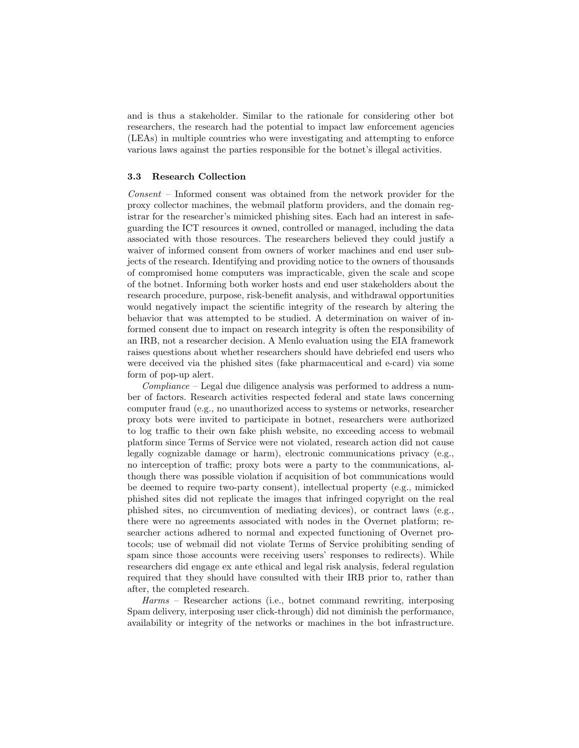and is thus a stakeholder. Similar to the rationale for considering other bot researchers, the research had the potential to impact law enforcement agencies (LEAs) in multiple countries who were investigating and attempting to enforce various laws against the parties responsible for the botnet's illegal activities.

# 3.3 Research Collection

Consent – Informed consent was obtained from the network provider for the proxy collector machines, the webmail platform providers, and the domain registrar for the researcher's mimicked phishing sites. Each had an interest in safeguarding the ICT resources it owned, controlled or managed, including the data associated with those resources. The researchers believed they could justify a waiver of informed consent from owners of worker machines and end user subjects of the research. Identifying and providing notice to the owners of thousands of compromised home computers was impracticable, given the scale and scope of the botnet. Informing both worker hosts and end user stakeholders about the research procedure, purpose, risk-benefit analysis, and withdrawal opportunities would negatively impact the scientific integrity of the research by altering the behavior that was attempted to be studied. A determination on waiver of informed consent due to impact on research integrity is often the responsibility of an IRB, not a researcher decision. A Menlo evaluation using the EIA framework raises questions about whether researchers should have debriefed end users who were deceived via the phished sites (fake pharmaceutical and e-card) via some form of pop-up alert.

Compliance – Legal due diligence analysis was performed to address a number of factors. Research activities respected federal and state laws concerning computer fraud (e.g., no unauthorized access to systems or networks, researcher proxy bots were invited to participate in botnet, researchers were authorized to log traffic to their own fake phish website, no exceeding access to webmail platform since Terms of Service were not violated, research action did not cause legally cognizable damage or harm), electronic communications privacy (e.g., no interception of traffic; proxy bots were a party to the communications, although there was possible violation if acquisition of bot communications would be deemed to require two-party consent), intellectual property (e.g., mimicked phished sites did not replicate the images that infringed copyright on the real phished sites, no circumvention of mediating devices), or contract laws (e.g., there were no agreements associated with nodes in the Overnet platform; researcher actions adhered to normal and expected functioning of Overnet protocols; use of webmail did not violate Terms of Service prohibiting sending of spam since those accounts were receiving users' responses to redirects). While researchers did engage ex ante ethical and legal risk analysis, federal regulation required that they should have consulted with their IRB prior to, rather than after, the completed research.

Harms – Researcher actions (i.e., botnet command rewriting, interposing Spam delivery, interposing user click-through) did not diminish the performance, availability or integrity of the networks or machines in the bot infrastructure.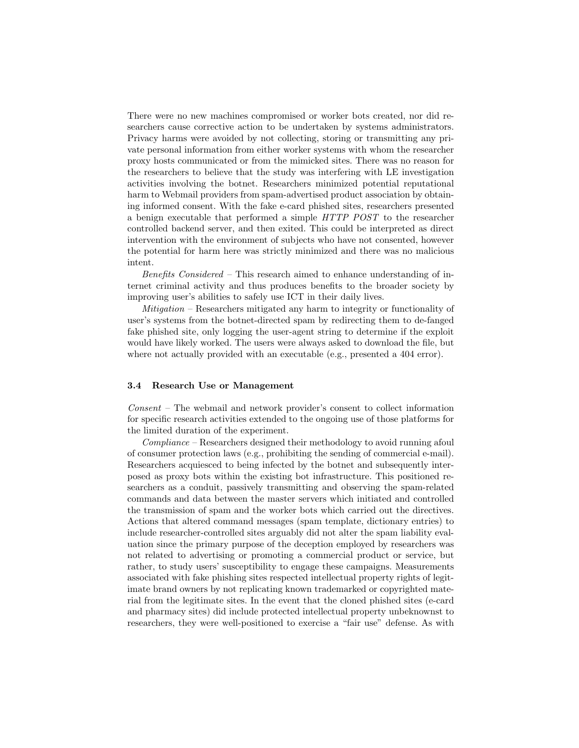There were no new machines compromised or worker bots created, nor did researchers cause corrective action to be undertaken by systems administrators. Privacy harms were avoided by not collecting, storing or transmitting any private personal information from either worker systems with whom the researcher proxy hosts communicated or from the mimicked sites. There was no reason for the researchers to believe that the study was interfering with LE investigation activities involving the botnet. Researchers minimized potential reputational harm to Webmail providers from spam-advertised product association by obtaining informed consent. With the fake e-card phished sites, researchers presented a benign executable that performed a simple HTTP POST to the researcher controlled backend server, and then exited. This could be interpreted as direct intervention with the environment of subjects who have not consented, however the potential for harm here was strictly minimized and there was no malicious intent.

*Benefits Considered –* This research aimed to enhance understanding of internet criminal activity and thus produces benefits to the broader society by improving user's abilities to safely use ICT in their daily lives.

 $Mitigation - Researchers mitigated any harm to integrity or functionality of$ user's systems from the botnet-directed spam by redirecting them to de-fanged fake phished site, only logging the user-agent string to determine if the exploit would have likely worked. The users were always asked to download the file, but where not actually provided with an executable (e.g., presented a 404 error).

#### 3.4 Research Use or Management

Consent – The webmail and network provider's consent to collect information for specific research activities extended to the ongoing use of those platforms for the limited duration of the experiment.

Compliance – Researchers designed their methodology to avoid running afoul of consumer protection laws (e.g., prohibiting the sending of commercial e-mail). Researchers acquiesced to being infected by the botnet and subsequently interposed as proxy bots within the existing bot infrastructure. This positioned researchers as a conduit, passively transmitting and observing the spam-related commands and data between the master servers which initiated and controlled the transmission of spam and the worker bots which carried out the directives. Actions that altered command messages (spam template, dictionary entries) to include researcher-controlled sites arguably did not alter the spam liability evaluation since the primary purpose of the deception employed by researchers was not related to advertising or promoting a commercial product or service, but rather, to study users' susceptibility to engage these campaigns. Measurements associated with fake phishing sites respected intellectual property rights of legitimate brand owners by not replicating known trademarked or copyrighted material from the legitimate sites. In the event that the cloned phished sites (e-card and pharmacy sites) did include protected intellectual property unbeknownst to researchers, they were well-positioned to exercise a "fair use" defense. As with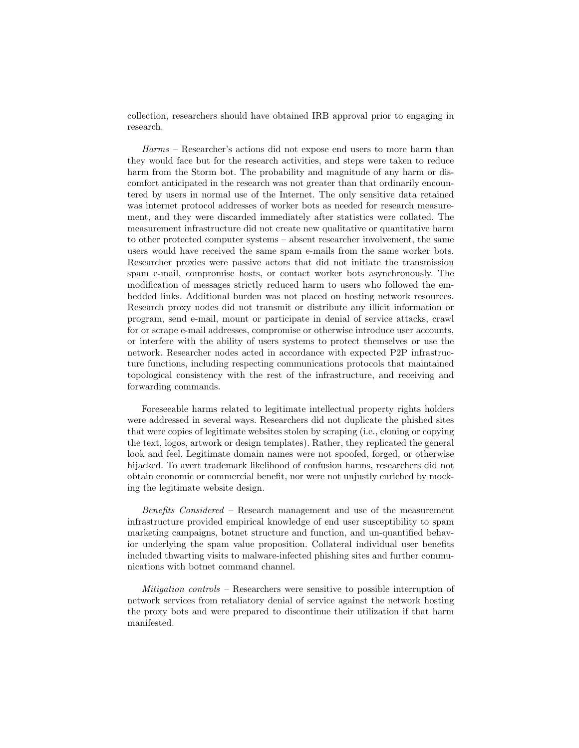collection, researchers should have obtained IRB approval prior to engaging in research.

Harms – Researcher's actions did not expose end users to more harm than they would face but for the research activities, and steps were taken to reduce harm from the Storm bot. The probability and magnitude of any harm or discomfort anticipated in the research was not greater than that ordinarily encountered by users in normal use of the Internet. The only sensitive data retained was internet protocol addresses of worker bots as needed for research measurement, and they were discarded immediately after statistics were collated. The measurement infrastructure did not create new qualitative or quantitative harm to other protected computer systems – absent researcher involvement, the same users would have received the same spam e-mails from the same worker bots. Researcher proxies were passive actors that did not initiate the transmission spam e-mail, compromise hosts, or contact worker bots asynchronously. The modification of messages strictly reduced harm to users who followed the embedded links. Additional burden was not placed on hosting network resources. Research proxy nodes did not transmit or distribute any illicit information or program, send e-mail, mount or participate in denial of service attacks, crawl for or scrape e-mail addresses, compromise or otherwise introduce user accounts, or interfere with the ability of users systems to protect themselves or use the network. Researcher nodes acted in accordance with expected P2P infrastructure functions, including respecting communications protocols that maintained topological consistency with the rest of the infrastructure, and receiving and forwarding commands.

Foreseeable harms related to legitimate intellectual property rights holders were addressed in several ways. Researchers did not duplicate the phished sites that were copies of legitimate websites stolen by scraping (i.e., cloning or copying the text, logos, artwork or design templates). Rather, they replicated the general look and feel. Legitimate domain names were not spoofed, forged, or otherwise hijacked. To avert trademark likelihood of confusion harms, researchers did not obtain economic or commercial benefit, nor were not unjustly enriched by mocking the legitimate website design.

Benefits Considered – Research management and use of the measurement infrastructure provided empirical knowledge of end user susceptibility to spam marketing campaigns, botnet structure and function, and un-quantified behavior underlying the spam value proposition. Collateral individual user benefits included thwarting visits to malware-infected phishing sites and further communications with botnet command channel.

Mitigation controls – Researchers were sensitive to possible interruption of network services from retaliatory denial of service against the network hosting the proxy bots and were prepared to discontinue their utilization if that harm manifested.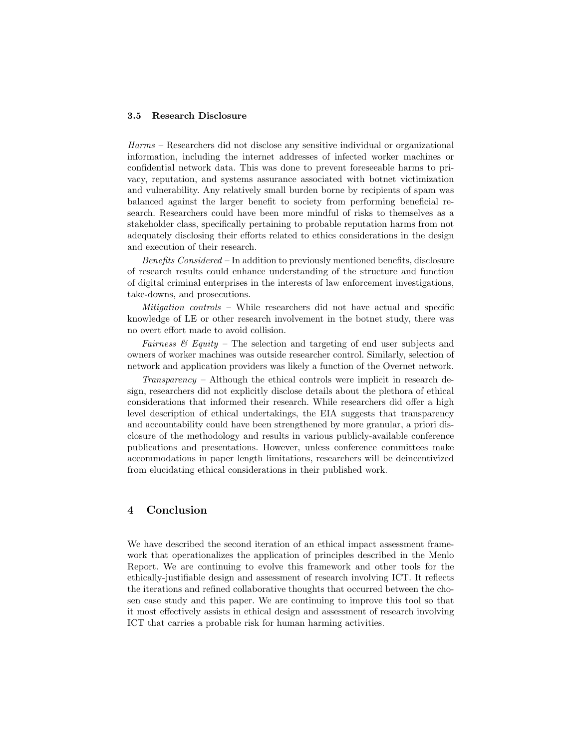## 3.5 Research Disclosure

Harms – Researchers did not disclose any sensitive individual or organizational information, including the internet addresses of infected worker machines or confidential network data. This was done to prevent foreseeable harms to privacy, reputation, and systems assurance associated with botnet victimization and vulnerability. Any relatively small burden borne by recipients of spam was balanced against the larger benefit to society from performing beneficial research. Researchers could have been more mindful of risks to themselves as a stakeholder class, specifically pertaining to probable reputation harms from not adequately disclosing their efforts related to ethics considerations in the design and execution of their research.

Benefits Considered – In addition to previously mentioned benefits, disclosure of research results could enhance understanding of the structure and function of digital criminal enterprises in the interests of law enforcement investigations, take-downs, and prosecutions.

Mitigation controls – While researchers did not have actual and specific knowledge of LE or other research involvement in the botnet study, there was no overt effort made to avoid collision.

Fairness  $\mathcal B$  Equity – The selection and targeting of end user subjects and owners of worker machines was outside researcher control. Similarly, selection of network and application providers was likely a function of the Overnet network.

Transparency – Although the ethical controls were implicit in research design, researchers did not explicitly disclose details about the plethora of ethical considerations that informed their research. While researchers did offer a high level description of ethical undertakings, the EIA suggests that transparency and accountability could have been strengthened by more granular, a priori disclosure of the methodology and results in various publicly-available conference publications and presentations. However, unless conference committees make accommodations in paper length limitations, researchers will be deincentivized from elucidating ethical considerations in their published work.

# 4 Conclusion

We have described the second iteration of an ethical impact assessment framework that operationalizes the application of principles described in the Menlo Report. We are continuing to evolve this framework and other tools for the ethically-justifiable design and assessment of research involving ICT. It reflects the iterations and refined collaborative thoughts that occurred between the chosen case study and this paper. We are continuing to improve this tool so that it most effectively assists in ethical design and assessment of research involving ICT that carries a probable risk for human harming activities.